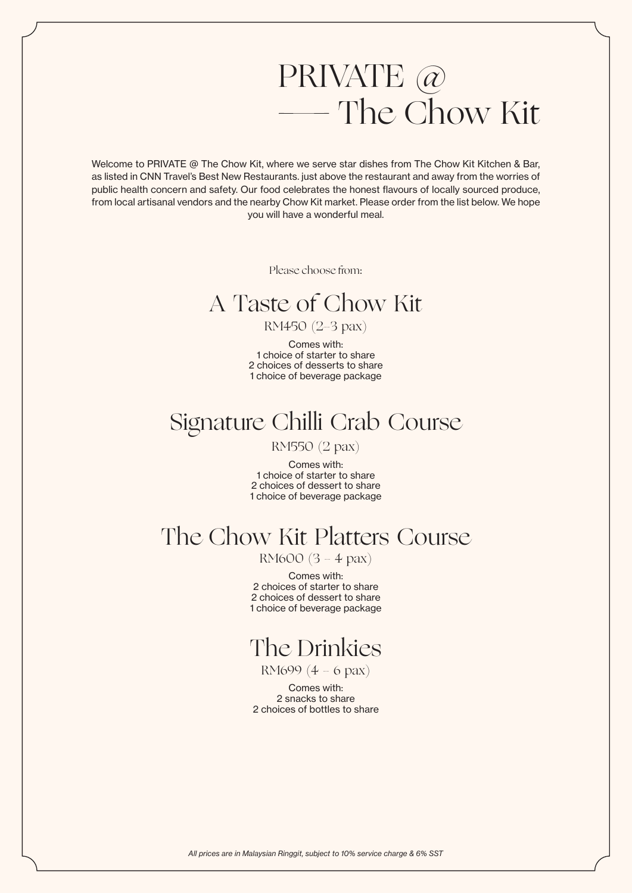# PRIVATE @ — The Chow Kit

Welcome to PRIVATE @ The Chow Kit, where we serve star dishes from The Chow Kit Kitchen & Bar, as listed in CNN Travel's Best New Restaurants. just above the restaurant and away from the worries of public health concern and safety. Our food celebrates the honest flavours of locally sourced produce, from local artisanal vendors and the nearby Chow Kit market. Please order from the list below. We hope you will have a wonderful meal.

Please choose from:

## A Taste of Chow Kit

#### RM450 (2-3 pax)

Comes with: 1 choice of starter to share 2 choices of desserts to share 1 choice of beverage package

## Signature Chilli Crab Course

RM550 (2 pax)

Comes with: 1 choice of starter to share 2 choices of dessert to share 1 choice of beverage package

## The Chow Kit Platters Course

RM600 (3 - 4 pax)

Comes with: 2 choices of starter to share 2 choices of dessert to share 1 choice of beverage package

## The Drinkies

RM699 (4 - 6 pax)

Comes with: 2 snacks to share 2 choices of bottles to share

*All prices are in Malaysian Ringgit, subject to 10% service charge & 6% SST*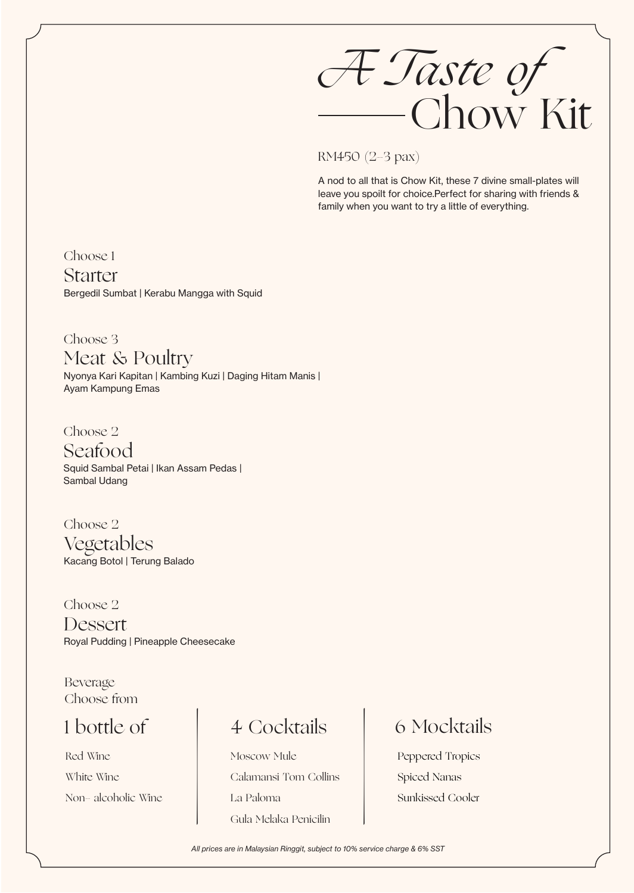*A Taste of* Chow Kit

RM450 (2-3 pax)

A nod to all that is Chow Kit, these 7 divine small-plates will leave you spoilt for choice.Perfect for sharing with friends & family when you want to try a little of everything.

Choose 1

Bergedil Sumbat | Kerabu Mangga with Squid **Starter** 

Choose 3 Nyonya Kari Kapitan | Kambing Kuzi | Daging Hitam Manis | Ayam Kampung Emas Meat & Poultry

Choose 2 Squid Sambal Petai | Ikan Assam Pedas | Sambal Udang Seafood

Choose 2 Kacang Botol | Terung Balado Vegetables

Choose 2 Royal Pudding | Pineapple Cheesecake Dessert

Choose from Beverage

## 1 bottle of

Red Wine White Wine

1 bottle of 4 Cocktails<br>
Red Wine Moscow Mule<br>
White Wine Calamansi Tom Collins<br>
Non- alcoholic Wine La Paloma Moscow Mule Calamansi Tom Collins La Paloma Gula Melaka Penicilin

## 6 Mocktails

Peppered Tropics Spied Nanas Sunkissed Cooler

*All prices are in Malaysian Ringgit, subject to 10% service charge & 6% SST*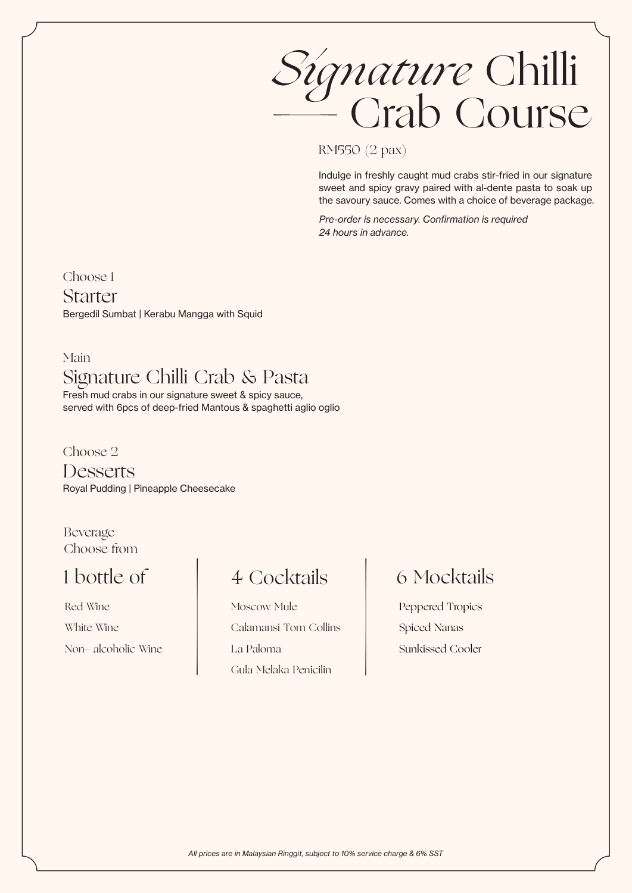*Signature* Chilli — Crab Course

RM550 (2 pax)

Indulge in freshly caught mud crabs stir-fried in our signature sweet and spicy gravy paired with al-dente pasta to soak up the savoury sauce. Comes with a choice of beverage package.

Pre-order is necessary. Confirmation is required *24 hours in advance.*

Choose 1

Bergedil Sumbat | Kerabu Mangga with Squid Starter

#### Main Signature Chilli Crab & Pasta

Fresh mud crabs in our signature sweet & spicy sauce, served with 6pcs of deep-fried Mantous & spaghetti aglio oglio

Choose 2 Royal Pudding | Pineapple Cheesecake **Desserts** 

Choose from Beverage

## 1 bottle of

Red Wine White Wine

1 bottle of 4 Cocktails<br>
Red Wine Moscow Mule<br>
White Wine Calamansi Tom Collins<br>
Non- alcoholic Wine La Paloma Moscow Mule Calamansi Tom Collins La Paloma Gula Melaka Penicilin

## 6 Mocktails

Peppered Tropics Spied Nanas Sunkissed Cooler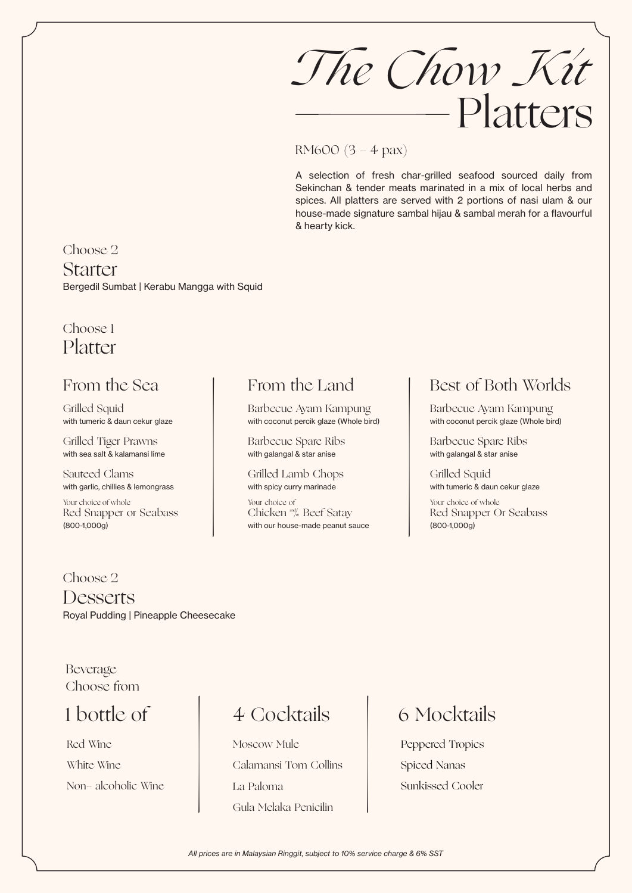*The Chow Kit* Platters

#### RM600 (3 - 4 pax)

A selection of fresh char-grilled seafood sourced daily from Sekinchan & tender meats marinated in a mix of local herbs and spices. All platters are served with 2 portions of nasi ulam & our house-made signature sambal hijau & sambal merah for a flavourful & hearty kick.

#### Choose 2

Bergedil Sumbat | Kerabu Mangga with Squid Starter

#### Choose 1 Platter

### From the Sea

Grilled Squid with tumeric & daun cekur glaze

Grilled Tiger Prawns with sea salt & kalamansi lime

Sauteed Clams with garlic, chillies & lemongrass

Your choice of whole Red Snapper or Seabass (800-1,000g)

#### From the Land

Barbecue Ayam Kampung with coconut percik glaze (Whole bird)

Barbecue Spare Ribs with galangal & star anise

Grilled Lamb Chops with spicy curry marinade

Your choice of Chicken and Beef Satay Grilled Lamb Chops<br>
with spicy curry marinade<br>
Your choice of<br>
Chicken \*\*\* Beef Satay<br>
with our house-made peanut sauce

#### Best of Both Worlds

Barbecue Ayam Kampung with coconut percik glaze (Whole bird)

Barbecue Spare Ribs with galangal & star anise

Grilled Squid with tumeric & daun cekur glaze

Your choice of whole Red Snapper Or Seabass (800-1,000g)

#### Choose 2

Royal Pudding | Pineapple Cheesecake Desserts

Choose from Beverage

### 1 bottle of

Red Wine White Wine

1 bottle of 4 Cocktails<br>
Red Wine Moscow Mule<br>
White Wine Calamansi Tom Collins<br>
Non- alcoholic Wine La Paloma Moscow Mule Calamansi Tom Collins La Paloma Gula Melaka Penicilin

### 6 Mocktails

Peppered Tropics Spiced Nanas Sunkissed Cooler

*All prices are in Malaysian Ringgit, subject to 10% service charge & 6% SST*